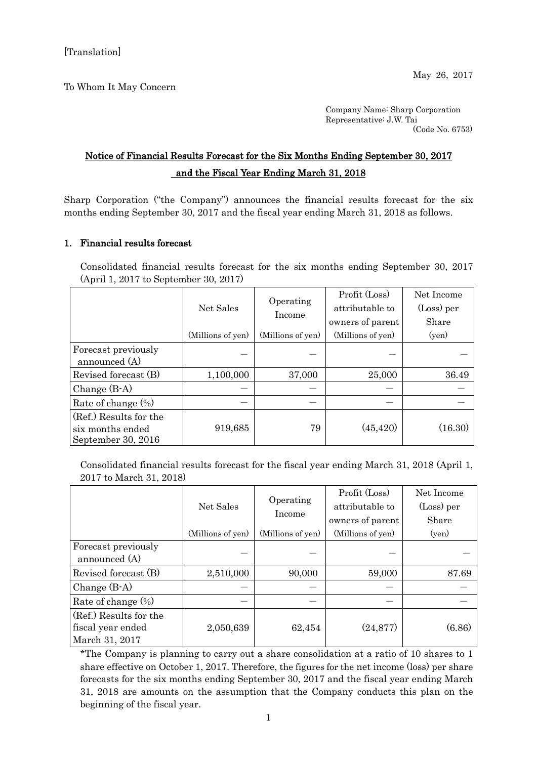To Whom It May Concern

Company Name: Sharp Corporation Representative: J.W. Tai (Code No. 6753)

## Notice of Financial Results Forecast for the Six Months Ending September 30, 2017 and the Fiscal Year Ending March 31, 2018

Sharp Corporation ("the Company") announces the financial results forecast for the six months ending September 30, 2017 and the fiscal year ending March 31, 2018 as follows.

## 1. Financial results forecast

Consolidated financial results forecast for the six months ending September 30, 2017 (April 1, 2017 to September 30, 2017)

|                                                                  | Net Sales         | Operating<br>Income | Profit (Loss)<br>attributable to<br>owners of parent | Net Income<br>(Loss) per<br>Share |
|------------------------------------------------------------------|-------------------|---------------------|------------------------------------------------------|-----------------------------------|
|                                                                  | (Millions of yen) | (Millions of yen)   | (Millions of yen)                                    | (ven)                             |
| Forecast previously<br>announced (A)                             |                   |                     |                                                      |                                   |
| Revised forecast (B)                                             | 1,100,000         | 37,000              | 25,000                                               | 36.49                             |
| Change $(B-A)$                                                   |                   |                     |                                                      |                                   |
| Rate of change $(\%)$                                            |                   |                     |                                                      |                                   |
| (Ref.) Results for the<br>six months ended<br>September 30, 2016 | 919,685           | 79                  | (45, 420)                                            | (16.30)                           |

Consolidated financial results forecast for the fiscal year ending March 31, 2018 (April 1, 2017 to March 31, 2018)

|                        | Net Sales         | Operating<br>Income | Profit (Loss)     | Net Income |
|------------------------|-------------------|---------------------|-------------------|------------|
|                        |                   |                     | attributable to   | (Loss) per |
|                        |                   |                     | owners of parent  | Share      |
|                        | (Millions of yen) | (Millions of yen)   | (Millions of yen) | (yen)      |
| Forecast previously    |                   |                     |                   |            |
| announced (A)          |                   |                     |                   |            |
| Revised forecast (B)   | 2,510,000         | 90,000              | 59,000            | 87.69      |
| Change $(B-A)$         |                   |                     |                   |            |
| Rate of change $(\%)$  |                   |                     |                   |            |
| (Ref.) Results for the |                   |                     |                   |            |
| fiscal year ended      | 2,050,639         | 62,454              | (24, 877)         | (6.86)     |
| March 31, 2017         |                   |                     |                   |            |

\*The Company is planning to carry out a share consolidation at a ratio of 10 shares to 1 share effective on October 1, 2017. Therefore, the figures for the net income (loss) per share forecasts for the six months ending September 30, 2017 and the fiscal year ending March 31, 2018 are amounts on the assumption that the Company conducts this plan on the beginning of the fiscal year.